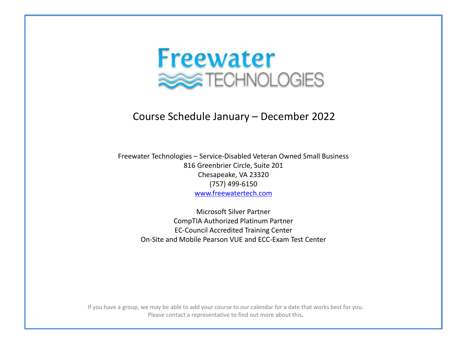

#### Course Schedule January – December 2022

Freewater Technologies – Service-Disabled Veteran Owned Small Business 816 Greenbrier Circle, Suite 201 Chesapeake, VA 23320 (757) 499-6150 [www.freewatertech.com](http://www.freewatertech.com/)

> Microsoft Silver Partner CompTIA Authorized Platinum Partner EC-Council Accredited Training Center On-Site and Mobile Pearson VUE and ECC-Exam Test Center

If you have a group, we may be able to add your course to our calendar for a date that works best for you. Please contact a representative to find out more about this.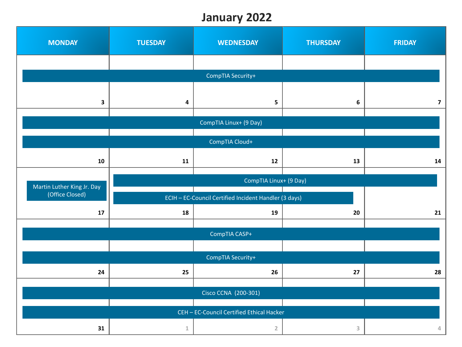### **January 2022**

| <b>MONDAY</b>                                 | <b>TUESDAY</b>          | <b>WEDNESDAY</b>                                      | <b>THURSDAY</b> | <b>FRIDAY</b>  |
|-----------------------------------------------|-------------------------|-------------------------------------------------------|-----------------|----------------|
|                                               |                         |                                                       |                 |                |
|                                               |                         | CompTIA Security+                                     |                 |                |
| 3                                             | $\overline{\mathbf{4}}$ | 5                                                     | 6               | $\overline{7}$ |
|                                               |                         |                                                       |                 |                |
|                                               |                         | CompTIA Linux+ (9 Day)                                |                 |                |
|                                               |                         | CompTIA Cloud+                                        |                 |                |
| 10                                            | 11                      | 12                                                    | 13              | 14             |
|                                               | CompTIA Linux+ (9 Day)  |                                                       |                 |                |
| Martin Luther King Jr. Day<br>(Office Closed) |                         | ECIH - EC-Council Certified Incident Handler (3 days) |                 |                |
| 17                                            | 18                      | 19                                                    | 20              | 21             |
|                                               |                         |                                                       |                 |                |
|                                               |                         | CompTIA CASP+                                         |                 |                |
|                                               |                         | CompTIA Security+                                     |                 |                |
| 24                                            | 25                      | 26                                                    | 27              | 28             |
|                                               |                         |                                                       |                 |                |
|                                               |                         | Cisco CCNA (200-301)                                  |                 |                |
|                                               |                         | CEH - EC-Council Certified Ethical Hacker             |                 |                |
|                                               |                         |                                                       |                 |                |
| 31                                            | $\,1\,$                 | $\overline{2}$                                        | 3               | 4              |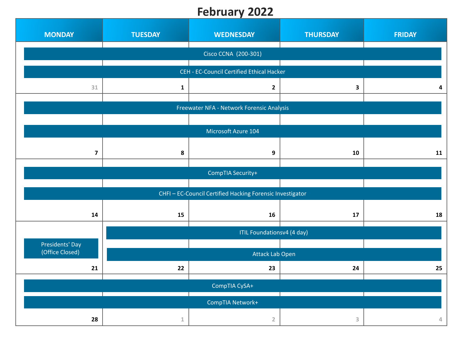## **February 2022**

| <b>MONDAY</b>           | <b>TUESDAY</b> | <b>WEDNESDAY</b>                                          | <b>THURSDAY</b> | <b>FRIDAY</b> |
|-------------------------|----------------|-----------------------------------------------------------|-----------------|---------------|
|                         |                | Cisco CCNA (200-301)                                      |                 |               |
|                         |                | CEH - EC-Council Certified Ethical Hacker                 |                 |               |
| 31                      | $\mathbf{1}$   | $\mathbf{2}$                                              | 3               | 4             |
|                         |                | Freewater NFA - Network Forensic Analysis                 |                 |               |
|                         |                |                                                           |                 |               |
|                         |                | Microsoft Azure 104                                       |                 |               |
| $\overline{\mathbf{z}}$ | 8              | 9                                                         | 10              | 11            |
|                         |                | CompTIA Security+                                         |                 |               |
|                         |                |                                                           |                 |               |
|                         |                | CHFI - EC-Council Certified Hacking Forensic Investigator |                 |               |
| 14                      | 15             | 16                                                        | 17              | 18            |
|                         |                | ITIL Foundationsv4 (4 day)                                |                 |               |
| Presidents' Day         |                |                                                           |                 |               |
| (Office Closed)         |                | Attack Lab Open                                           |                 |               |
| 21                      | 22             | 23                                                        | 24              | 25            |
|                         |                | CompTIA CySA+                                             |                 |               |
|                         |                | CompTIA Network+                                          |                 |               |
| 28                      | 1              | $\overline{2}$                                            | 3               | 4             |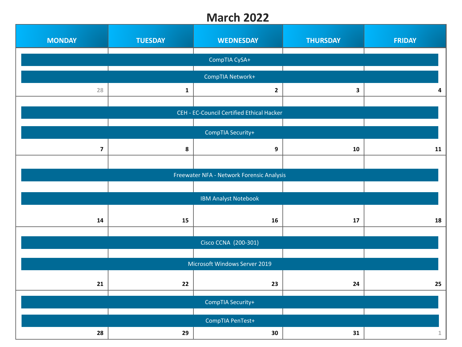#### **March 2022**

| <b>MONDAY</b>           | <b>TUESDAY</b> | <b>WEDNESDAY</b>                          | <b>THURSDAY</b> | <b>FRIDAY</b> |
|-------------------------|----------------|-------------------------------------------|-----------------|---------------|
|                         |                | CompTIA CySA+                             |                 |               |
|                         |                | CompTIA Network+                          |                 |               |
| 28                      | $\mathbf{1}$   | $\mathbf{2}$                              | 3               | 4             |
|                         |                | CEH - EC-Council Certified Ethical Hacker |                 |               |
|                         |                |                                           |                 |               |
|                         |                | CompTIA Security+                         |                 |               |
| $\overline{\mathbf{z}}$ | 8              | 9                                         | 10              | 11            |
|                         |                |                                           |                 |               |
|                         |                | Freewater NFA - Network Forensic Analysis |                 |               |
|                         |                |                                           |                 |               |
|                         |                | <b>IBM Analyst Notebook</b>               |                 |               |
| 14                      | 15             | 16                                        | 17              | 18            |
|                         |                |                                           |                 |               |
|                         |                | Cisco CCNA (200-301)                      |                 |               |
|                         |                |                                           |                 |               |
|                         |                | Microsoft Windows Server 2019             |                 |               |
| 21                      | 22             | 23                                        | 24              | 25            |
|                         |                |                                           |                 |               |
|                         |                | CompTIA Security+                         |                 |               |
|                         |                | CompTIA PenTest+                          |                 |               |
| 28                      | 29             | 30                                        | 31              | $\mathbbm{1}$ |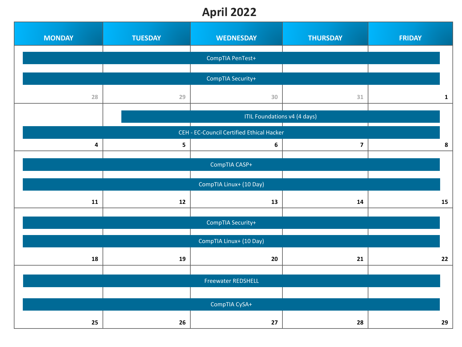# **April 2022**

| <b>MONDAY</b> | <b>TUESDAY</b> | <b>WEDNESDAY</b>                          | <b>THURSDAY</b>         | <b>FRIDAY</b> |
|---------------|----------------|-------------------------------------------|-------------------------|---------------|
|               |                | CompTIA PenTest+                          |                         |               |
|               |                | CompTIA Security+                         |                         |               |
|               |                |                                           |                         |               |
| 28            | 29             | 30                                        | $31\,$                  | $\mathbf{1}$  |
|               |                | ITIL Foundations v4 (4 days)              |                         |               |
|               |                | CEH - EC-Council Certified Ethical Hacker |                         |               |
| 4             | 5              | 6                                         | $\overline{\mathbf{z}}$ | 8             |
|               |                | CompTIA CASP+                             |                         |               |
|               |                | CompTIA Linux+ (10 Day)                   |                         |               |
| ${\bf 11}$    | 12             | 13                                        | 14                      | 15            |
|               |                |                                           |                         |               |
|               |                | CompTIA Security+                         |                         |               |
|               |                | CompTIA Linux+ (10 Day)                   |                         |               |
| 18            | 19             | 20                                        | 21                      | 22            |
|               |                | <b>Freewater REDSHELL</b>                 |                         |               |
|               |                |                                           |                         |               |
|               |                | CompTIA CySA+                             |                         |               |
| 25            |                | 27                                        | 28                      | 29            |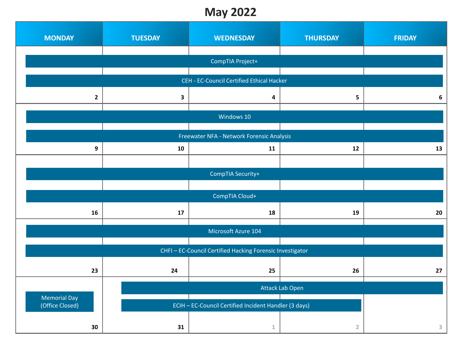### **May 2022**

| <b>MONDAY</b>                          | <b>TUESDAY</b> | <b>WEDNESDAY</b>                                          | <b>THURSDAY</b> | <b>FRIDAY</b> |
|----------------------------------------|----------------|-----------------------------------------------------------|-----------------|---------------|
|                                        |                |                                                           |                 |               |
|                                        |                | CompTIA Project+                                          |                 |               |
|                                        |                | CEH - EC-Council Certified Ethical Hacker                 |                 |               |
| $\mathbf{2}$                           | $\mathbf{3}$   | $\overline{\mathbf{4}}$                                   | 5               | 6             |
|                                        |                |                                                           |                 |               |
|                                        |                | Windows 10                                                |                 |               |
|                                        |                | Freewater NFA - Network Forensic Analysis                 |                 |               |
| 9                                      | 10             | 11                                                        | 12              | 13            |
|                                        |                |                                                           |                 |               |
|                                        |                | CompTIA Security+                                         |                 |               |
|                                        |                |                                                           |                 |               |
|                                        |                | CompTIA Cloud+                                            |                 |               |
| 16                                     | 17             | 18                                                        | 19              | 20            |
|                                        |                |                                                           |                 |               |
|                                        |                | Microsoft Azure 104                                       |                 |               |
|                                        |                | CHFI - EC-Council Certified Hacking Forensic Investigator |                 |               |
|                                        |                |                                                           |                 |               |
| 23                                     | 24             | 25                                                        | 26              | 27            |
|                                        |                |                                                           | Attack Lab Open |               |
| <b>Memorial Day</b><br>(Office Closed) |                |                                                           |                 |               |
|                                        |                | ECIH - EC-Council Certified Incident Handler (3 days)     |                 |               |
| 30                                     | 31             | $\mathbf{1}$                                              | $\overline{2}$  | 3             |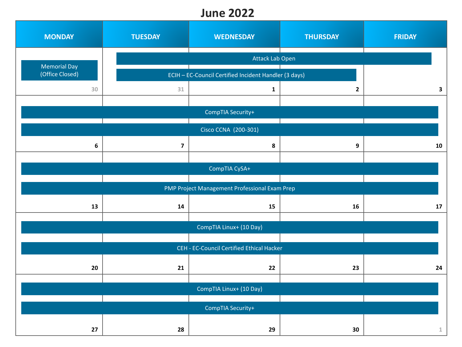### **June 2022**

| <b>MONDAY</b>                          | <b>TUESDAY</b>          | <b>WEDNESDAY</b>                                      | <b>THURSDAY</b> | <b>FRIDAY</b> |
|----------------------------------------|-------------------------|-------------------------------------------------------|-----------------|---------------|
|                                        |                         | Attack Lab Open                                       |                 |               |
| <b>Memorial Day</b><br>(Office Closed) |                         | ECIH - EC-Council Certified Incident Handler (3 days) |                 |               |
| 30                                     | $31\,$                  | $\mathbf{1}$                                          | $\mathbf{2}$    | $\mathbf{3}$  |
|                                        |                         |                                                       |                 |               |
|                                        |                         | CompTIA Security+                                     |                 |               |
|                                        |                         | Cisco CCNA (200-301)                                  |                 |               |
| $\boldsymbol{6}$                       | $\overline{\mathbf{z}}$ | 8                                                     | 9               | 10            |
|                                        |                         | CompTIA CySA+                                         |                 |               |
|                                        |                         |                                                       |                 |               |
|                                        |                         | PMP Project Management Professional Exam Prep         |                 |               |
| 13                                     | 14                      | 15                                                    | 16              | 17            |
|                                        |                         | CompTIA Linux+ (10 Day)                               |                 |               |
|                                        |                         |                                                       |                 |               |
|                                        |                         | CEH - EC-Council Certified Ethical Hacker             |                 |               |
| 20                                     | 21                      | 22                                                    | 23              | 24            |
|                                        |                         |                                                       |                 |               |
|                                        |                         | CompTIA Linux+ (10 Day)                               |                 |               |
|                                        |                         | CompTIA Security+                                     |                 |               |
| 27                                     | 28                      | 29                                                    | 30              | $\mathbf{1}$  |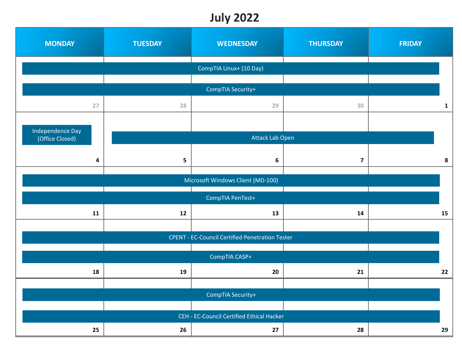### **July 2022**

| <b>MONDAY</b>                       | <b>TUESDAY</b>    | <b>WEDNESDAY</b>                                       | <b>THURSDAY</b>         | <b>FRIDAY</b> |  |
|-------------------------------------|-------------------|--------------------------------------------------------|-------------------------|---------------|--|
|                                     |                   | CompTIA Linux+ (10 Day)                                |                         |               |  |
|                                     | CompTIA Security+ |                                                        |                         |               |  |
| 27                                  | 28                | 29                                                     | 30                      | $\mathbf{1}$  |  |
|                                     |                   |                                                        |                         |               |  |
| Independence Day<br>(Office Closed) |                   | Attack Lab Open                                        |                         |               |  |
| 4                                   | 5                 | $\boldsymbol{6}$                                       | $\overline{\mathbf{z}}$ | 8             |  |
|                                     |                   |                                                        |                         |               |  |
|                                     |                   | Microsoft Windows Client (MD-100)                      |                         |               |  |
|                                     |                   | CompTIA PenTest+                                       |                         |               |  |
| 11                                  | 12                | 13                                                     | 14                      | 15            |  |
|                                     |                   |                                                        |                         |               |  |
|                                     |                   | <b>CPENT - EC-Council Certified Penetration Tester</b> |                         |               |  |
|                                     |                   | CompTIA CASP+                                          |                         |               |  |
| 18                                  | 19                | 20                                                     | 21                      | 22            |  |
|                                     |                   |                                                        |                         |               |  |
|                                     |                   | CompTIA Security+                                      |                         |               |  |
|                                     |                   | CEH - EC-Council Certified Ethical Hacker              |                         |               |  |
| 25                                  | 26                | 27                                                     | 28                      | 29            |  |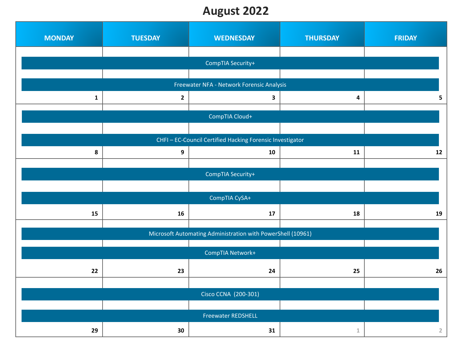### **August 2022**

| <b>MONDAY</b> | <b>TUESDAY</b> | <b>WEDNESDAY</b>                                            | <b>THURSDAY</b> | <b>FRIDAY</b>  |
|---------------|----------------|-------------------------------------------------------------|-----------------|----------------|
|               |                |                                                             |                 |                |
|               |                | CompTIA Security+                                           |                 |                |
|               |                |                                                             |                 |                |
|               |                | Freewater NFA - Network Forensic Analysis                   |                 |                |
| $\mathbf{1}$  | $\mathbf{2}$   | 3                                                           | 4               | 5              |
|               |                | CompTIA Cloud+                                              |                 |                |
|               |                |                                                             |                 |                |
|               |                | CHFI - EC-Council Certified Hacking Forensic Investigator   |                 |                |
| 8             | 9              | 10                                                          | 11              | 12             |
|               |                |                                                             |                 |                |
|               |                | CompTIA Security+                                           |                 |                |
|               |                |                                                             |                 |                |
|               |                | CompTIA CySA+                                               |                 |                |
|               |                |                                                             |                 |                |
| 15            | 16             | 17                                                          | 18              | 19             |
|               |                | Microsoft Automating Administration with PowerShell (10961) |                 |                |
|               |                |                                                             |                 |                |
|               |                | CompTIA Network+                                            |                 |                |
| 22            | 23             | 24                                                          | 25              | 26             |
|               |                |                                                             |                 |                |
|               |                | Cisco CCNA (200-301)                                        |                 |                |
|               |                |                                                             |                 |                |
|               |                | <b>Freewater REDSHELL</b>                                   |                 |                |
| 29            | 30             | 31                                                          | $\mathbbm{1}$   | $\overline{2}$ |
|               |                |                                                             |                 |                |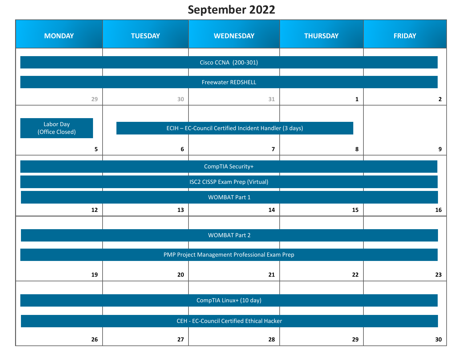## **September 2022**

| <b>MONDAY</b>                | <b>TUESDAY</b>            | <b>WEDNESDAY</b>                                      | <b>THURSDAY</b> | <b>FRIDAY</b> |  |  |
|------------------------------|---------------------------|-------------------------------------------------------|-----------------|---------------|--|--|
|                              | Cisco CCNA (200-301)      |                                                       |                 |               |  |  |
|                              | <b>Freewater REDSHELL</b> |                                                       |                 |               |  |  |
| 29                           | 30                        | 31                                                    | $\mathbf{1}$    | $\mathbf{2}$  |  |  |
| Labor Day<br>(Office Closed) |                           | ECIH - EC-Council Certified Incident Handler (3 days) |                 |               |  |  |
| 5                            | 6                         | $\overline{\mathbf{z}}$                               | 8               | 9             |  |  |
|                              |                           | CompTIA Security+                                     |                 |               |  |  |
|                              |                           | <b>ISC2 CISSP Exam Prep (Virtual)</b>                 |                 |               |  |  |
|                              |                           | <b>WOMBAT Part 1</b>                                  |                 |               |  |  |
| 12                           | 13                        | 14                                                    | 15              | 16            |  |  |
|                              |                           | <b>WOMBAT Part 2</b>                                  |                 |               |  |  |
|                              |                           | PMP Project Management Professional Exam Prep         |                 |               |  |  |
| 19                           | 20                        | 21                                                    | 22              | 23            |  |  |
|                              |                           | CompTIA Linux+ (10 day)                               |                 |               |  |  |
|                              |                           | CEH - EC-Council Certified Ethical Hacker             |                 |               |  |  |
| 26                           | 27                        | 28                                                    | 29              | 30            |  |  |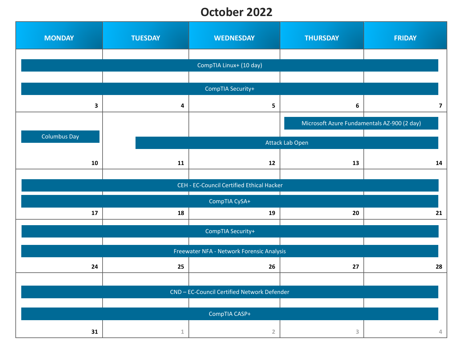### **October 2022**

| <b>MONDAY</b>       | <b>TUESDAY</b>          | <b>WEDNESDAY</b>                            | <b>THURSDAY</b>                             | <b>FRIDAY</b>           |  |
|---------------------|-------------------------|---------------------------------------------|---------------------------------------------|-------------------------|--|
|                     |                         |                                             |                                             |                         |  |
|                     | CompTIA Linux+ (10 day) |                                             |                                             |                         |  |
|                     |                         |                                             |                                             |                         |  |
|                     |                         | CompTIA Security+                           |                                             |                         |  |
| $\mathbf{3}$        | 4                       | 5                                           | 6                                           | $\overline{\mathbf{z}}$ |  |
|                     |                         |                                             | Microsoft Azure Fundamentals AZ-900 (2 day) |                         |  |
| <b>Columbus Day</b> |                         |                                             |                                             |                         |  |
|                     |                         |                                             | Attack Lab Open                             |                         |  |
| 10                  | 11                      | 12                                          | 13                                          | 14                      |  |
|                     |                         |                                             |                                             |                         |  |
|                     |                         | CEH - EC-Council Certified Ethical Hacker   |                                             |                         |  |
|                     |                         | CompTIA CySA+                               |                                             |                         |  |
| 17                  | 18                      | 19                                          | 20                                          | 21                      |  |
|                     | CompTIA Security+       |                                             |                                             |                         |  |
|                     |                         |                                             |                                             |                         |  |
|                     |                         | Freewater NFA - Network Forensic Analysis   |                                             |                         |  |
| 24                  | 25                      | 26                                          | 27                                          | 28                      |  |
|                     |                         |                                             |                                             |                         |  |
|                     |                         | CND - EC-Council Certified Network Defender |                                             |                         |  |
|                     |                         |                                             |                                             |                         |  |
|                     |                         | CompTIA CASP+                               |                                             |                         |  |
| 31                  | $\mathbbm{1}$           | $\overline{2}$                              | 3                                           | 4                       |  |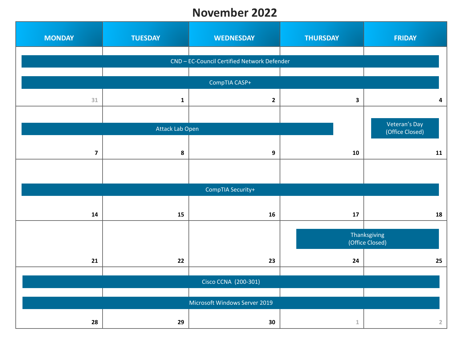#### **November 2022**

| <b>MONDAY</b>           | <b>TUESDAY</b>       | <b>WEDNESDAY</b>                            | <b>THURSDAY</b> | <b>FRIDAY</b>                    |  |
|-------------------------|----------------------|---------------------------------------------|-----------------|----------------------------------|--|
|                         |                      | CND - EC-Council Certified Network Defender |                 |                                  |  |
|                         |                      |                                             |                 |                                  |  |
|                         |                      | CompTIA CASP+                               |                 |                                  |  |
| $31\,$                  | $\mathbf{1}$         | $\mathbf{2}$                                | 3               | 4                                |  |
|                         |                      |                                             |                 |                                  |  |
|                         | Attack Lab Open      |                                             |                 | Veteran's Day<br>(Office Closed) |  |
|                         |                      |                                             |                 |                                  |  |
| $\overline{\mathbf{z}}$ | $\bf{8}$             | 9                                           | 10              | 11                               |  |
|                         |                      |                                             |                 |                                  |  |
|                         |                      |                                             |                 |                                  |  |
|                         |                      | CompTIA Security+                           |                 |                                  |  |
|                         |                      |                                             |                 |                                  |  |
| ${\bf 14}$              | 15                   | ${\bf 16}$                                  | $17\,$          | 18                               |  |
|                         |                      |                                             |                 | Thanksgiving                     |  |
|                         |                      |                                             |                 | (Office Closed)                  |  |
| ${\bf 21}$              | 22                   | 23                                          | ${\bf 24}$      | 25                               |  |
|                         |                      |                                             |                 |                                  |  |
|                         | Cisco CCNA (200-301) |                                             |                 |                                  |  |
|                         |                      |                                             |                 |                                  |  |
|                         |                      | Microsoft Windows Server 2019               |                 |                                  |  |
| 28                      | 29                   | 30                                          | $\mathbbm{1}$   | $\mathbf 2$                      |  |